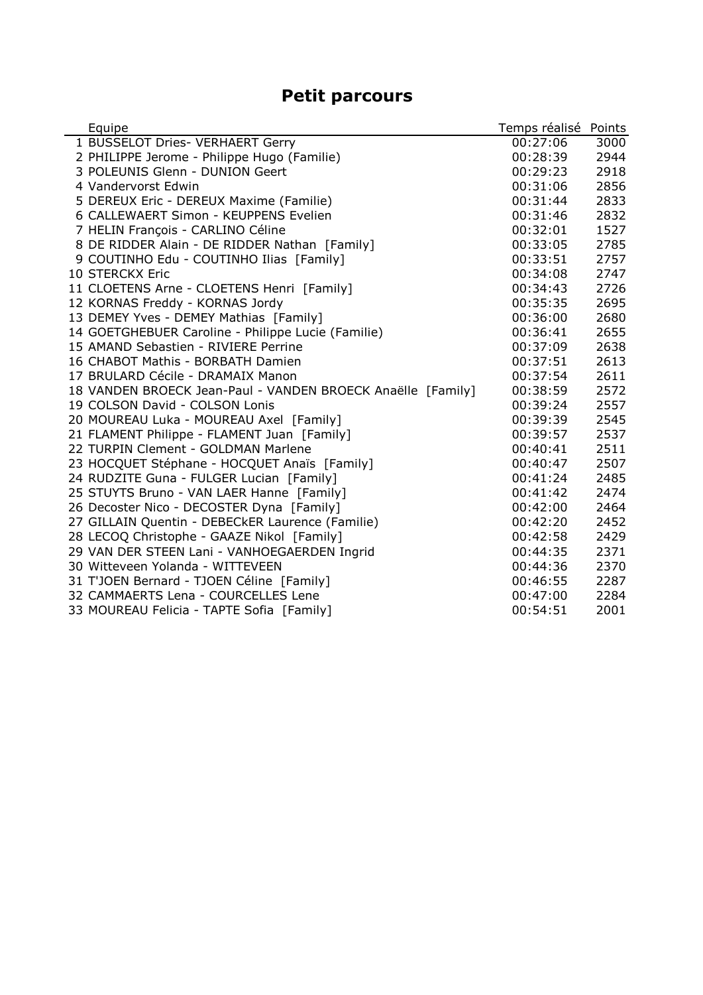## **Petit parcours**

| Equipe                                                      | Temps réalisé | Points |
|-------------------------------------------------------------|---------------|--------|
| 1 BUSSELOT Dries- VERHAERT Gerry                            | 00:27:06      | 3000   |
| 2 PHILIPPE Jerome - Philippe Hugo (Familie)                 | 00:28:39      | 2944   |
| 3 POLEUNIS Glenn - DUNION Geert                             | 00:29:23      | 2918   |
| 4 Vandervorst Edwin                                         | 00:31:06      | 2856   |
| 5 DEREUX Eric - DEREUX Maxime (Familie)                     | 00:31:44      | 2833   |
| 6 CALLEWAERT Simon - KEUPPENS Evelien                       | 00:31:46      | 2832   |
| 7 HELIN François - CARLINO Céline                           | 00:32:01      | 1527   |
| 8 DE RIDDER Alain - DE RIDDER Nathan [Family]               | 00:33:05      | 2785   |
| 9 COUTINHO Edu - COUTINHO Ilias [Family]                    | 00:33:51      | 2757   |
| 10 STERCKX Eric                                             | 00:34:08      | 2747   |
| 11 CLOETENS Arne - CLOETENS Henri [Family]                  | 00:34:43      | 2726   |
| 12 KORNAS Freddy - KORNAS Jordy                             | 00:35:35      | 2695   |
| 13 DEMEY Yves - DEMEY Mathias [Family]                      | 00:36:00      | 2680   |
| 14 GOETGHEBUER Caroline - Philippe Lucie (Familie)          | 00:36:41      | 2655   |
| 15 AMAND Sebastien - RIVIERE Perrine                        | 00:37:09      | 2638   |
| 16 CHABOT Mathis - BORBATH Damien                           | 00:37:51      | 2613   |
| 17 BRULARD Cécile - DRAMAIX Manon                           | 00:37:54      | 2611   |
| 18 VANDEN BROECK Jean-Paul - VANDEN BROECK Anaëlle [Family] | 00:38:59      | 2572   |
| 19 COLSON David - COLSON Lonis                              | 00:39:24      | 2557   |
| 20 MOUREAU Luka - MOUREAU Axel [Family]                     | 00:39:39      | 2545   |
| 21 FLAMENT Philippe - FLAMENT Juan [Family]                 | 00:39:57      | 2537   |
| 22 TURPIN Clement - GOLDMAN Marlene                         | 00:40:41      | 2511   |
| 23 HOCQUET Stéphane - HOCQUET Anaïs [Family]                | 00:40:47      | 2507   |
| 24 RUDZITE Guna - FULGER Lucian [Family]                    | 00:41:24      | 2485   |
| 25 STUYTS Bruno - VAN LAER Hanne [Family]                   | 00:41:42      | 2474   |
| 26 Decoster Nico - DECOSTER Dyna [Family]                   | 00:42:00      | 2464   |
| 27 GILLAIN Quentin - DEBECkER Laurence (Familie)            | 00:42:20      | 2452   |
| 28 LECOQ Christophe - GAAZE Nikol [Family]                  | 00:42:58      | 2429   |
| 29 VAN DER STEEN Lani - VANHOEGAERDEN Ingrid                | 00:44:35      | 2371   |
| 30 Witteveen Yolanda - WITTEVEEN                            | 00:44:36      | 2370   |
| 31 T'JOEN Bernard - TJOEN Céline [Family]                   | 00:46:55      | 2287   |
| 32 CAMMAERTS Lena - COURCELLES Lene                         | 00:47:00      | 2284   |
| 33 MOUREAU Felicia - TAPTE Sofia [Family]                   | 00:54:51      | 2001   |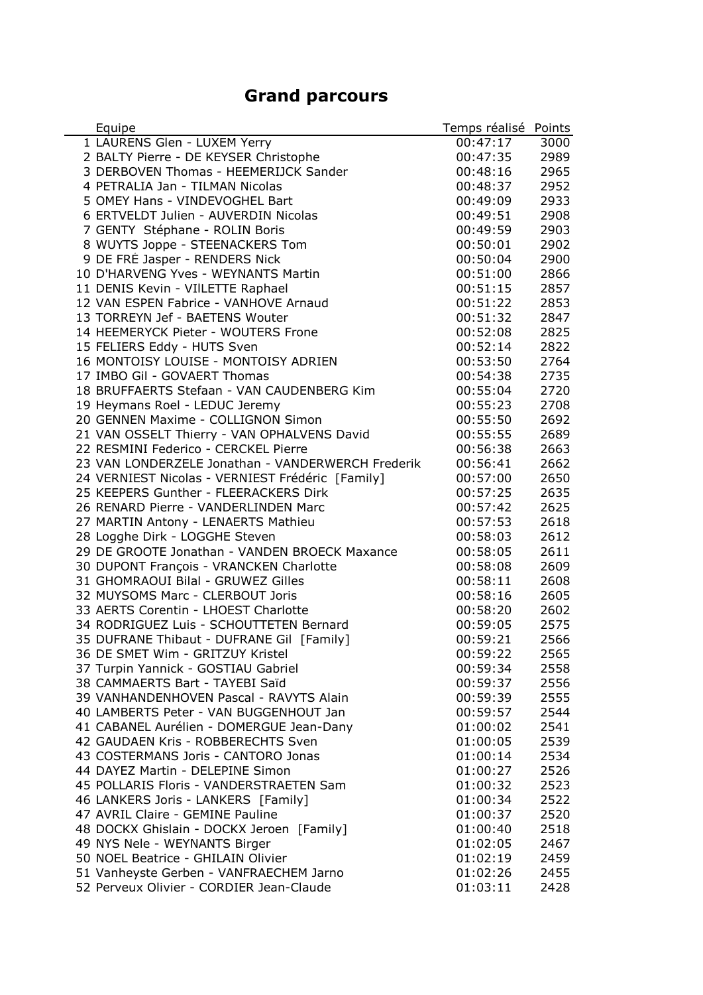## **Grand parcours**

| Equipe                                                                  | Temps réalisé | Points |
|-------------------------------------------------------------------------|---------------|--------|
| 1 LAURENS Glen - LUXEM Yerry                                            | 00:47:17      | 3000   |
| 2 BALTY Pierre - DE KEYSER Christophe                                   | 00:47:35      | 2989   |
| 3 DERBOVEN Thomas - HEEMERIJCK Sander                                   | 00:48:16      | 2965   |
| 4 PETRALIA Jan - TILMAN Nicolas                                         | 00:48:37      | 2952   |
| 5 OMEY Hans - VINDEVOGHEL Bart                                          | 00:49:09      | 2933   |
| 6 ERTVELDT Julien - AUVERDIN Nicolas                                    | 00:49:51      | 2908   |
| 7 GENTY Stéphane - ROLIN Boris                                          | 00:49:59      | 2903   |
| 8 WUYTS Joppe - STEENACKERS Tom                                         | 00:50:01      | 2902   |
| 9 DE FRÉ Jasper - RENDERS Nick                                          | 00:50:04      | 2900   |
| 10 D'HARVENG Yves - WEYNANTS Martin                                     | 00:51:00      | 2866   |
| 11 DENIS Kevin - VIILETTE Raphael                                       | 00:51:15      | 2857   |
| 12 VAN ESPEN Fabrice - VANHOVE Arnaud                                   | 00:51:22      | 2853   |
| 13 TORREYN Jef - BAETENS Wouter                                         | 00:51:32      | 2847   |
| 14 HEEMERYCK Pieter - WOUTERS Frone                                     | 00:52:08      | 2825   |
| 15 FELIERS Eddy - HUTS Sven                                             | 00:52:14      | 2822   |
| 16 MONTOISY LOUISE - MONTOISY ADRIEN                                    | 00:53:50      | 2764   |
| 17 IMBO Gil - GOVAERT Thomas                                            | 00:54:38      | 2735   |
| 18 BRUFFAERTS Stefaan - VAN CAUDENBERG Kim                              | 00:55:04      | 2720   |
| 19 Heymans Roel - LEDUC Jeremy                                          | 00:55:23      | 2708   |
| 20 GENNEN Maxime - COLLIGNON Simon                                      | 00:55:50      | 2692   |
| 21 VAN OSSELT Thierry - VAN OPHALVENS David                             | 00:55:55      | 2689   |
| 22 RESMINI Federico - CERCKEL Pierre                                    | 00:56:38      | 2663   |
| 23 VAN LONDERZELE Jonathan - VANDERWERCH Frederik                       | 00:56:41      | 2662   |
| 24 VERNIEST Nicolas - VERNIEST Frédéric [Family]                        | 00:57:00      | 2650   |
| 25 KEEPERS Gunther - FLEERACKERS Dirk                                   | 00:57:25      | 2635   |
| 26 RENARD Pierre - VANDERLINDEN Marc                                    | 00:57:42      | 2625   |
| 27 MARTIN Antony - LENAERTS Mathieu                                     | 00:57:53      | 2618   |
| 28 Logghe Dirk - LOGGHE Steven                                          | 00:58:03      | 2612   |
| 29 DE GROOTE Jonathan - VANDEN BROECK Maxance                           | 00:58:05      | 2611   |
| 30 DUPONT François - VRANCKEN Charlotte                                 | 00:58:08      | 2609   |
| 31 GHOMRAOUI Bilal - GRUWEZ Gilles                                      | 00:58:11      | 2608   |
| 32 MUYSOMS Marc - CLERBOUT Joris                                        | 00:58:16      | 2605   |
| 33 AERTS Corentin - LHOEST Charlotte                                    | 00:58:20      | 2602   |
| 34 RODRIGUEZ Luis - SCHOUTTETEN Bernard                                 | 00:59:05      | 2575   |
| 35 DUFRANE Thibaut - DUFRANE Gil [Family]                               | 00:59:21      | 2566   |
| 36 DE SMET Wim - GRITZUY Kristel                                        | 00:59:22      | 2565   |
| 37 Turpin Yannick - GOSTIAU Gabriel                                     | 00:59:34      | 2558   |
| 38 CAMMAERTS Bart - TAYEBI Saïd                                         | 00:59:37      | 2556   |
| 39 VANHANDENHOVEN Pascal - RAVYTS Alain                                 | 00:59:39      | 2555   |
| 40 LAMBERTS Peter - VAN BUGGENHOUT Jan                                  | 00:59:57      | 2544   |
| 41 CABANEL Aurélien - DOMERGUE Jean-Dany                                | 01:00:02      | 2541   |
| 42 GAUDAEN Kris - ROBBERECHTS Sven                                      |               |        |
|                                                                         | 01:00:05      | 2539   |
| 43 COSTERMANS Joris - CANTORO Jonas<br>44 DAYEZ Martin - DELEPINE Simon | 01:00:14      | 2534   |
|                                                                         | 01:00:27      | 2526   |
| 45 POLLARIS Floris - VANDERSTRAETEN Sam                                 | 01:00:32      | 2523   |
| 46 LANKERS Joris - LANKERS [Family]                                     | 01:00:34      | 2522   |
| 47 AVRIL Claire - GEMINE Pauline                                        | 01:00:37      | 2520   |
| 48 DOCKX Ghislain - DOCKX Jeroen [Family]                               | 01:00:40      | 2518   |
| 49 NYS Nele - WEYNANTS Birger                                           | 01:02:05      | 2467   |
| 50 NOEL Beatrice - GHILAIN Olivier                                      | 01:02:19      | 2459   |
| 51 Vanheyste Gerben - VANFRAECHEM Jarno                                 | 01:02:26      | 2455   |
| 52 Perveux Olivier - CORDIER Jean-Claude                                | 01:03:11      | 2428   |